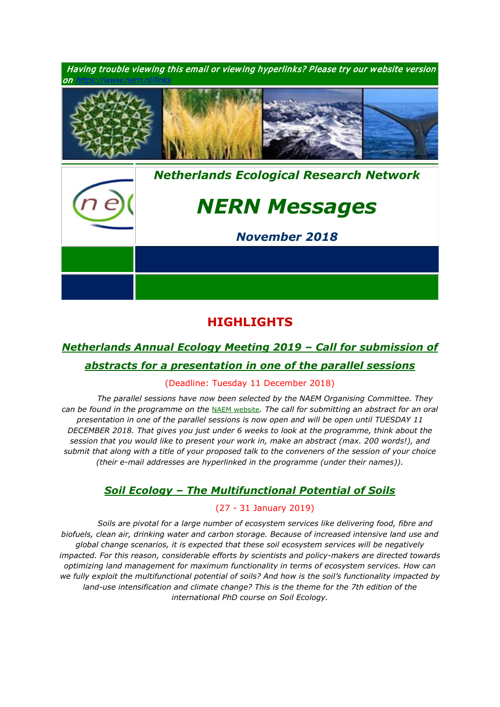

# **HIGHLIGHTS**

# *[Netherlands Annual Ecology Meeting 2019](https://www.nern.nl/NAEM2019) – Call for submission of*

# *[abstracts for a presentation in one of the parallel sessions](https://www.nern.nl/NAEM2019)*

### (Deadline: Tuesday 11 December 2018)

*1. The parallel sessions have now been selected by the NAEM Organising Committee. They can be found in the programme on the* [NAEM website](https://www.nern.nl/NAEM2019)*. The call for submitting an abstract for an oral presentation in one of the parallel sessions is now open and will be open until TUESDAY 11 DECEMBER 2018. That gives you just under 6 weeks to look at the programme, think about the session that you would like to present your work in, make an abstract (max. 200 words!), and submit that along with a title of your proposed talk to the conveners of the session of your choice (their e-mail addresses are hyperlinked in the programme (under their names)).*

# *Soil Ecology – [The Multifunctional](https://www.pe-rc.nl/soil-ecology) Potential of Soils*

### (27 - 31 January 2019)

*3. Soils are pivotal for a large number of ecosystem services like delivering food, fibre and biofuels, clean air, drinking water and carbon storage. Because of increased intensive land use and global change scenarios, it is expected that these soil ecosystem services will be negatively impacted. For this reason, considerable efforts by scientists and policy-makers are directed towards optimizing land management for maximum functionality in terms of ecosystem services. How can we fully exploit the multifunctional potential of soils? And how is the soil's functionality impacted by*  land-use intensification and climate change? This is the theme for the 7th edition of the *international PhD course on Soil Ecology.*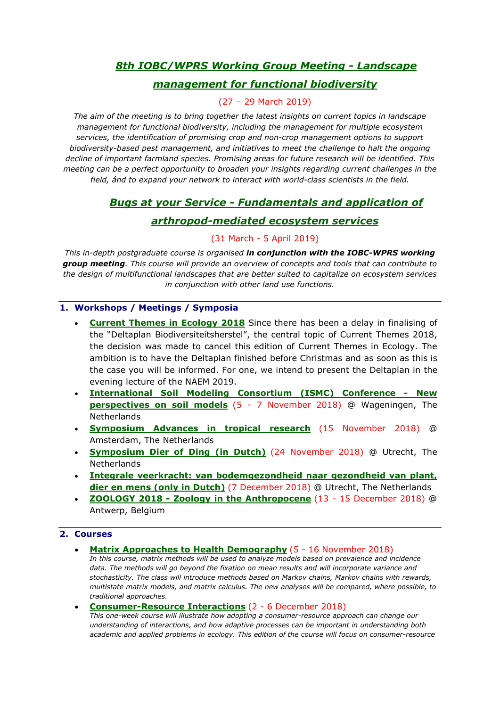# *6. [8th IOBC/WPRS Working Group Meeting](https://www.pe-rc.nl/IOBC-WPRS-meeting) - Landscape*

# *[management for functional biodiversity](https://www.pe-rc.nl/IOBC-WPRS-meeting)*

## 7. (27 – 29 March 2019)

*The aim of the meeting is to bring together the latest insights on current topics in landscape management for functional biodiversity, including the management for multiple ecosystem services, the identification of promising crop and non-crop management options to support biodiversity-based pest management, and initiatives to meet the challenge to halt the ongoing decline of important farmland species. Promising areas for future research will be identified. This meeting can be a perfect opportunity to broaden your insights regarding current challenges in the field, ánd to expand your network to interact with world-class scientists in the field.*

# *1. Bugs at your Service - [Fundamentals and application of](https://www.pe-rc.nl/bugs)*

## *[arthropod-mediated ecosystem services](https://www.pe-rc.nl/bugs)*

## 2. (31 March - 5 April 2019)

*This in-depth postgraduate course is organised in conjunction with the IOBC-WPRS working group meeting. This course will provide an overview of concepts and tools that can contribute to the design of multifunctional landscapes that are better suited to capitalize on ecosystem services in conjunction with other land use functions.*

## **1. Workshops / Meetings / Symposia**

- **Current Themes in Ecology 2018** Since there has been a delay in finalising of the "Deltaplan Biodiversiteitsherstel", the central topic of Current Themes 2018, the decision was made to cancel this edition of Current Themes in Ecology. The ambition is to have the Deltaplan finished before Christmas and as soon as this is the case you will be informed. For one, we intend to present the Deltaplan in the evening lecture of the NAEM 2019.
- **[International Soil Modeling Consortium \(ISMC\) Conference -](https://www.nern.nl/sites/default/files/ISMC_conference_announcement_2018.pdf) New [perspectives on soil models](https://www.nern.nl/sites/default/files/ISMC_conference_announcement_2018.pdf)** (5 - 7 November 2018) @ Wageningen, The Netherlands
- **[Symposium Advances in tropical research](http://ibed.uva.nl/content/events/symposia/2018/11/treub-symposium.html?origin=6htvxIaOTJuVWPheaTnS4g)** (15 November 2018) @ Amsterdam, The Netherlands
- **[Symposium Dier of Ding \(in Dutch\)](https://www.nern.nl/sites/default/files/Symposium%20Dier%20of%20Ding.pdf)** (24 November 2018) @ Utrecht, The **Netherlands**
- **[Integrale veerkracht: van bodemgezondheid naar gezondheid van plant,](http://www.nern.nl/sites/default/files/RIDLV%20symposium%20integrale%20veerkracht.pdf)  [dier en mens \(only in Dutch\)](http://www.nern.nl/sites/default/files/RIDLV%20symposium%20integrale%20veerkracht.pdf)** (7 December 2018) @ Utrecht, The Netherlands
- **ZOOLOGY 2018 - [Zoology in the Anthropocene](https://www.nern.nl/sites/default/files/Programm%20Zoology%202018.pdf)** (13 15 December 2018) @ Antwerp, Belgium

### **2. Courses**

• **[Matrix Approaches to Health Demography](https://www.demogr.mpg.de/en/education_career/international_advanced_studies_in_demography_3279/upcoming_courses_3762/matrix_approaches_to_health_demography_5603/default.htm)** (5 - 16 November 2018) *In this course, matrix methods will be used to analyze models based on prevalence and incidence data. The methods will go beyond the fixation on mean results and will incorporate variance and stochasticity. The class will introduce methods based on Markov chains, Markov chains with rewards, multistate matrix models, and matrix calculus. The new analyses will be compared, where possible, to traditional approaches.*

#### • **[Consumer-Resource Interactions](https://www.pe-rc.nl/postgraduate-courses/consumer-resource-interactions)** (2 - 6 December 2018)

*This one-week course will illustrate how adopting a consumer-resource approach can change our understanding of interactions, and how adaptive processes can be important in understanding both academic and applied problems in ecology. This edition of the course will focus on consumer-resource*